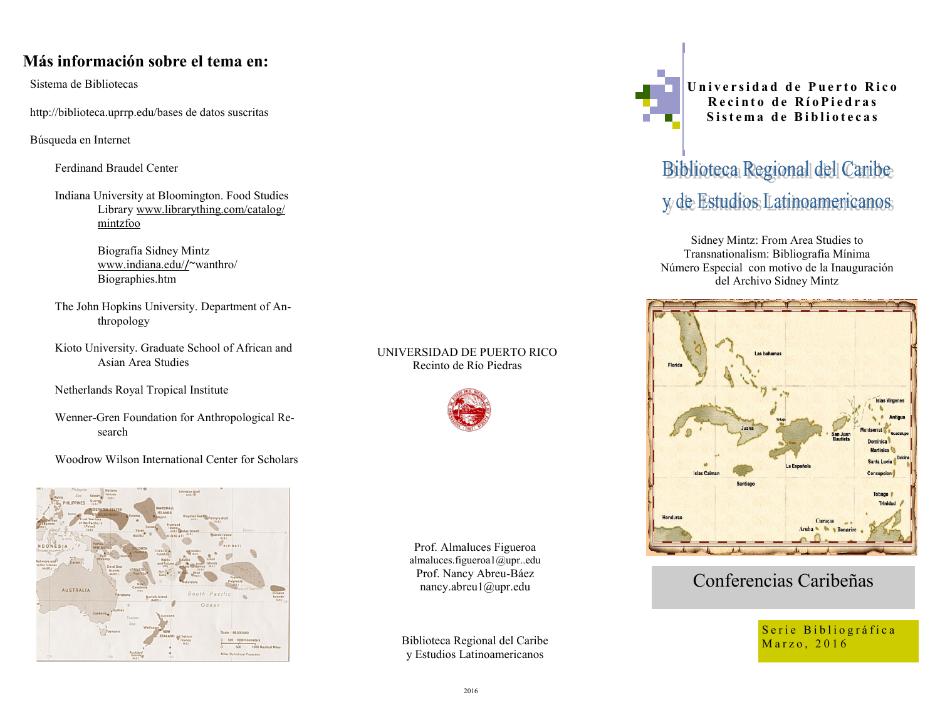## **Más información sobre el tema en:**

Sistema de Bibliotecas

http://biblioteca.uprrp.edu/bases de datos suscritas

Búsqueda en Internet

Ferdinand Braudel Center

Indiana University at Bloomington. Food Studies Library [www.librarything.com/catalog/](http://www.librarything.com/catalog/mintzfoo) [mintzfoo](http://www.librarything.com/catalog/mintzfoo)

> Biografía Sidney Mintz [www.indiana.edu/](http://www.indiana.edu/)/~wanthro/ Biographies.htm

The John Hopkins University. Department of Anthropology

Kioto University. Graduate School of African and Asian Area Studies

Netherlands Royal Tropical Institute

 Wenner-Gren Foundation for Anthropological Research

Woodrow Wilson International Center for Scholars



#### UNIVERSIDAD DE PUERTO RICO Recinto de Río Piedras



Prof. Almaluces Figueroa almaluces.figueroa1@upr..edu Prof. Nancy Abreu-Báez nancy.abreu1@upr.edu

Biblioteca Regional del Caribe y Estudios Latinoamericanos

**U n i v e r s i d a d d e P u e r t o R i c o Recinto de RíoPiedras** Sistema de Bibliotecas

# Biblioteca Regional del Caribe y de Estudios Latinoamericanos

Sidney Mintz: From Area Studies to Transnationalism: Bibliografía Mínima Número Especial con motivo de la Inauguración del Archivo Sidney Mintz



## Conferencias Caribeñas

Serie Bibliográfica Marzo, 2016